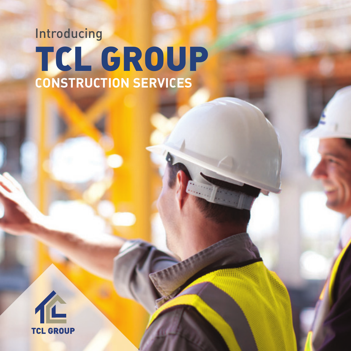### **Introducing** TCL GROUP **CONSTRUCTION SERVICES**

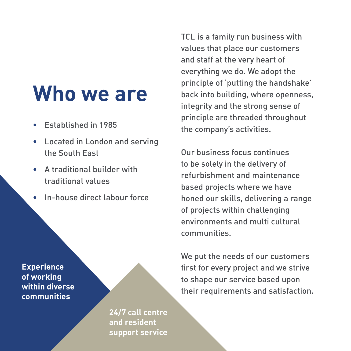## **Who we are**

- Established in 1985
- Located in London and serving the South East
- A traditional builder with traditional values
- In-house direct labour force

**Experience of working within diverse communities**

> **24/7 call centre and resident support service**

TCL is a family run business with values that place our customers and staff at the very heart of everything we do. We adopt the principle of 'putting the handshake' back into building, where openness, integrity and the strong sense of principle are threaded throughout the company's activities.

Our business focus continues to be solely in the delivery of refurbishment and maintenance based projects where we have honed our skills, delivering a range of projects within challenging environments and multi cultural communities.

We put the needs of our customers first for every project and we strive to shape our service based upon their requirements and satisfaction.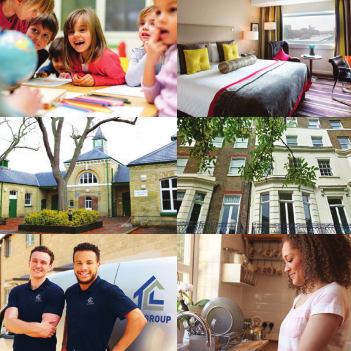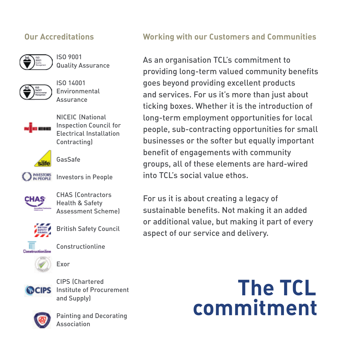#### **Our Accreditations**



ISO 9001 Quality Assurance



ISO 14001 Environmental Assurance



NICEIC (National Inspection Council for Electrical Installation **Contracting** 



GasSafe



Investors in People



CHAS (Contractors Health & Safety Assessment Scheme)



British Safety Council





Constructionline



Exor



CIPS (Chartered **ICIPS** Institute of Procurement and Supply)



Painting and Decorating Association

### **Working with our Customers and Communities**

As an organisation TCL's commitment to providing long-term valued community benefits goes beyond providing excellent products and services. For us it's more than just about ticking boxes. Whether it is the introduction of long-term employment opportunities for local people, sub-contracting opportunities for small businesses or the softer but equally important benefit of engagements with community groups, all of these elements are hard-wired into TCL's social value ethos.

For us it is about creating a legacy of sustainable benefits. Not making it an added or additional value, but making it part of every aspect of our service and delivery.

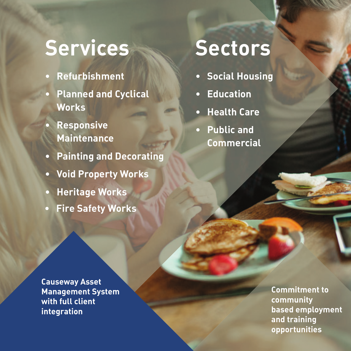## Services Sectors

- **Refurbishment**
- **Planned and Cyclical Works**
- • **Responsive Maintenance**
- **Painting and Decorating**
- **Void Property Works**
- • **Heritage Works**
- **Fire Safety Works**

**Causeway Asset Management System with full client integration** 

- **Social Housing**
- **Education**
- **Health Care**
- **Public and Commercial**

 **Commitment to community based employment and training opportunities**